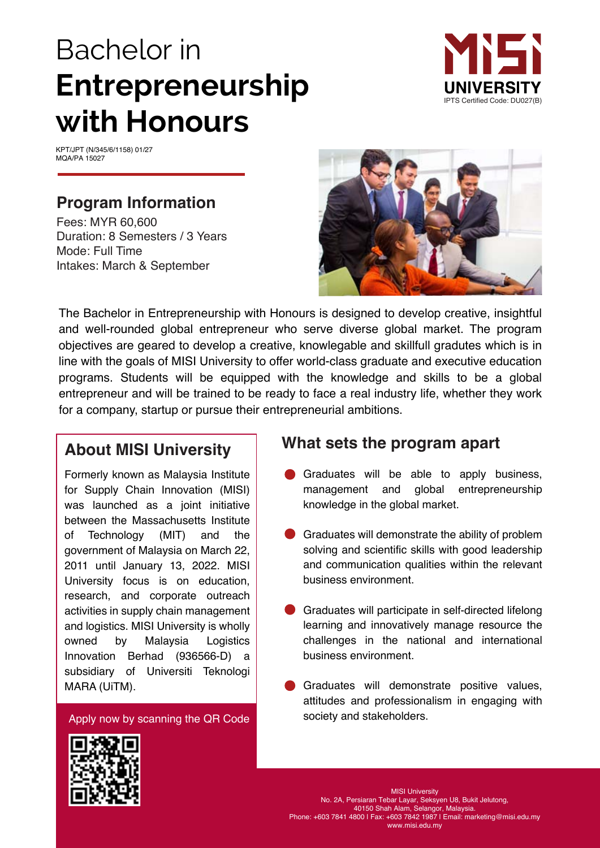# Bachelor in **Entrepreneurship with Honours**



KPT/JPT (N/345/6/1158) 01/27 MQA/PA 15027

## **Program Information**

Fees: MYR 60,600 Duration: 8 Semesters / 3 Years Mode: Full Time Intakes: March & September



The Bachelor in Entrepreneurship with Honours is designed to develop creative, insightful and well-rounded global entrepreneur who serve diverse global market. The program objectives are geared to develop a creative, knowlegable and skillfull gradutes which is in line with the goals of MISI University to offer world-class graduate and executive education programs. Students will be equipped with the knowledge and skills to be a global entrepreneur and will be trained to be ready to face a real industry life, whether they work for a company, startup or pursue their entrepreneurial ambitions.

# **About MISI University**

owned by Malaysia Logistics Innovation Berhad (936566-D) a Formerly known as Malaysia Institute for Supply Chain Innovation (MISI) was launched as a joint initiative between the Massachusetts Institute of Technology (MIT) and the government of Malaysia on March 22, 2011 until January 13, 2022. MISI University focus is on education, research, and corporate outreach activities in supply chain management and logistics. MISI University is wholly subsidiary of Universiti Teknologi MARA (UiTM).

Apply now by scanning the QR Code

## **What sets the program apart**

- Graduates will be able to apply business, management and global entrepreneurship knowledge in the global market.
- Graduates will demonstrate the ability of problem solving and scientific skills with good leadership and communication qualities within the relevant business environment.
- Graduates will participate in self-directed lifelong learning and innovatively manage resource the challenges in the national and international business environment.
- Graduates will demonstrate positive values, attitudes and professionalism in engaging with society and stakeholders.